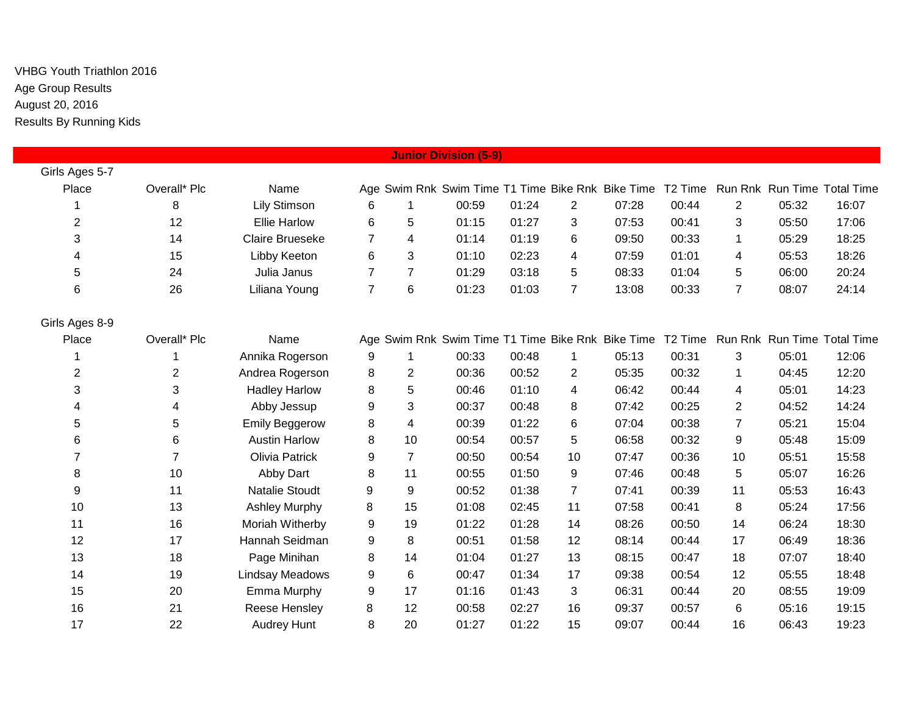| <b>Junior Division (5-9)</b> |              |                        |                |                         |                                                   |       |                |       |                     |                |       |                             |
|------------------------------|--------------|------------------------|----------------|-------------------------|---------------------------------------------------|-------|----------------|-------|---------------------|----------------|-------|-----------------------------|
| Girls Ages 5-7               |              |                        |                |                         |                                                   |       |                |       |                     |                |       |                             |
| Place                        | Overall* Plc | Name                   |                |                         | Age Swim Rnk Swim Time T1 Time Bike Rnk Bike Time |       |                |       | T <sub>2</sub> Time |                |       | Run Rnk Run Time Total Time |
|                              | 8            | <b>Lily Stimson</b>    | 6              | $\mathbf{1}$            | 00:59                                             | 01:24 | $\overline{2}$ | 07:28 | 00:44               | $\mathbf{2}$   | 05:32 | 16:07                       |
| $\overline{\mathbf{c}}$      | 12           | <b>Ellie Harlow</b>    | 6              | 5                       | 01:15                                             | 01:27 | 3              | 07:53 | 00:41               | 3              | 05:50 | 17:06                       |
| 3                            | 14           | <b>Claire Brueseke</b> | $\overline{7}$ | $\overline{4}$          | 01:14                                             | 01:19 | 6              | 09:50 | 00:33               | $\mathbf{1}$   | 05:29 | 18:25                       |
| 4                            | 15           | Libby Keeton           | $\,6$          | 3                       | 01:10                                             | 02:23 | 4              | 07:59 | 01:01               | 4              | 05:53 | 18:26                       |
| 5                            | 24           | Julia Janus            | $\overline{7}$ | $\overline{7}$          | 01:29                                             | 03:18 | 5              | 08:33 | 01:04               | 5              | 06:00 | 20:24                       |
| 6                            | 26           | Liliana Young          | $\overline{7}$ | 6                       | 01:23                                             | 01:03 | $\overline{7}$ | 13:08 | 00:33               | $\overline{7}$ | 08:07 | 24:14                       |
| Girls Ages 8-9               |              |                        |                |                         |                                                   |       |                |       |                     |                |       |                             |
| Place                        | Overall* Plc | Name                   |                |                         | Age Swim Rnk Swim Time T1 Time Bike Rnk Bike Time |       |                |       | T <sub>2</sub> Time |                |       | Run Rnk Run Time Total Time |
|                              |              | Annika Rogerson        | 9              | $\mathbf 1$             | 00:33                                             | 00:48 | $\mathbf 1$    | 05:13 | 00:31               | 3              | 05:01 | 12:06                       |
| 2                            | 2            | Andrea Rogerson        | 8              | $\overline{2}$          | 00:36                                             | 00:52 | $\overline{2}$ | 05:35 | 00:32               | $\mathbf 1$    | 04:45 | 12:20                       |
| 3                            | 3            | <b>Hadley Harlow</b>   | 8              | 5                       | 00:46                                             | 01:10 | 4              | 06:42 | 00:44               | 4              | 05:01 | 14:23                       |
| 4                            | 4            | Abby Jessup            | 9              | 3                       | 00:37                                             | 00:48 | 8              | 07:42 | 00:25               | $\overline{2}$ | 04:52 | 14:24                       |
| 5                            | 5            | <b>Emily Beggerow</b>  | 8              | $\overline{\mathbf{4}}$ | 00:39                                             | 01:22 | 6              | 07:04 | 00:38               | $\overline{7}$ | 05:21 | 15:04                       |
| 6                            | 6            | <b>Austin Harlow</b>   | 8              | 10                      | 00:54                                             | 00:57 | 5              | 06:58 | 00:32               | 9              | 05:48 | 15:09                       |
| $\overline{7}$               | 7            | <b>Olivia Patrick</b>  | 9              | $\overline{7}$          | 00:50                                             | 00:54 | 10             | 07:47 | 00:36               | 10             | 05:51 | 15:58                       |
| 8                            | 10           | Abby Dart              | 8              | 11                      | 00:55                                             | 01:50 | 9              | 07:46 | 00:48               | 5              | 05:07 | 16:26                       |
| 9                            | 11           | <b>Natalie Stoudt</b>  | 9              | 9                       | 00:52                                             | 01:38 | 7              | 07:41 | 00:39               | 11             | 05:53 | 16:43                       |
| 10                           | 13           | <b>Ashley Murphy</b>   | 8              | 15                      | 01:08                                             | 02:45 | 11             | 07:58 | 00:41               | 8              | 05:24 | 17:56                       |
| 11                           | 16           | Moriah Witherby        | 9              | 19                      | 01:22                                             | 01:28 | 14             | 08:26 | 00:50               | 14             | 06:24 | 18:30                       |
| 12                           | 17           | Hannah Seidman         | 9              | 8                       | 00:51                                             | 01:58 | 12             | 08:14 | 00:44               | 17             | 06:49 | 18:36                       |
| 13                           | 18           | Page Minihan           | 8              | 14                      | 01:04                                             | 01:27 | 13             | 08:15 | 00:47               | 18             | 07:07 | 18:40                       |
| 14                           | 19           | Lindsay Meadows        | 9              | 6                       | 00:47                                             | 01:34 | 17             | 09:38 | 00:54               | 12             | 05:55 | 18:48                       |
| 15                           | 20           | Emma Murphy            | 9              | 17                      | 01:16                                             | 01:43 | 3              | 06:31 | 00:44               | 20             | 08:55 | 19:09                       |
| 16                           | 21           | Reese Hensley          | 8              | 12                      | 00:58                                             | 02:27 | 16             | 09:37 | 00:57               | 6              | 05:16 | 19:15                       |
| 17                           | 22           | <b>Audrey Hunt</b>     | 8              | 20                      | 01:27                                             | 01:22 | 15             | 09:07 | 00:44               | 16             | 06:43 | 19:23                       |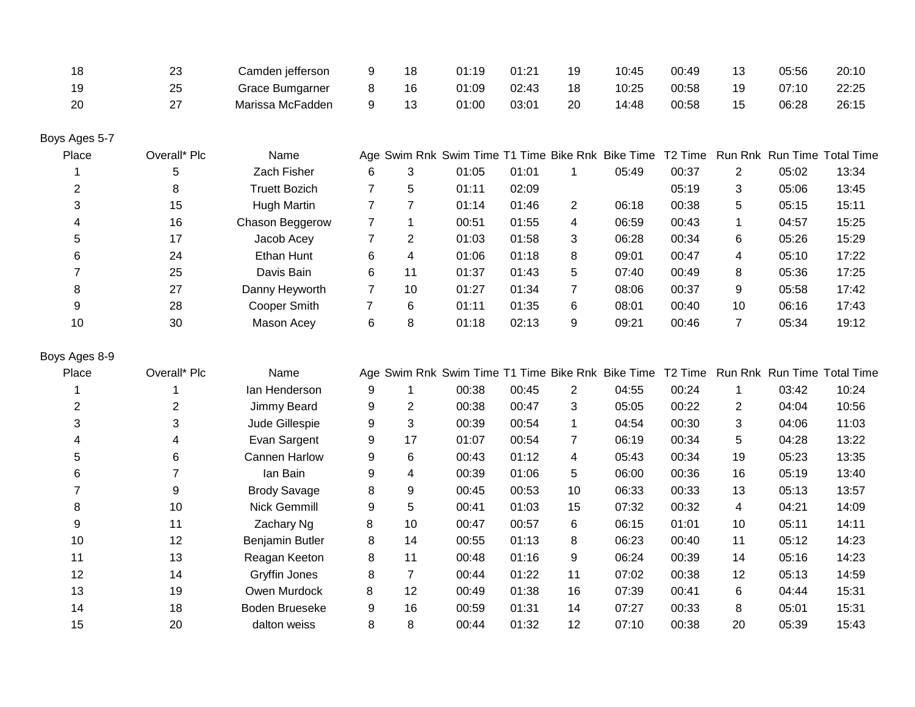|    | د∠ | Camden jefferson |   | 18  | 01:19 | 01:21 | 19 | 10:45 | 00:49 |    | 05:56 | 20:10 |
|----|----|------------------|---|-----|-------|-------|----|-------|-------|----|-------|-------|
| 19 | 25 | Grace Bumgarner  |   | 16  | 01:09 | 02:43 | 18 | 10:25 | 00:58 | 19 | 07:10 | 22:25 |
| 20 | 27 | Marissa McFadden | a | -13 | 01:00 | 03:01 | 20 | 14:48 | 00:58 | 15 | 06:28 | 26:15 |

# Boys Ages 5-7

| Place | Overall* Plc | Name            |   |    | Age Swim Rnk Swim Time T1 Time Bike Rnk Bike Time T2 Time Run Rnk Run Time Total Time |       |   |       |       |    |       |       |
|-------|--------------|-----------------|---|----|---------------------------------------------------------------------------------------|-------|---|-------|-------|----|-------|-------|
|       | 5            | Zach Fisher     | 6 |    | 01:05                                                                                 | 01:01 |   | 05:49 | 00:37 | 2  | 05:02 | 13:34 |
|       | 8            | Truett Bozich   |   | 5. | 01:11                                                                                 | 02:09 |   |       | 05:19 | 3  | 05:06 | 13:45 |
| 3     | 15           | Hugh Martin     |   |    | 01:14                                                                                 | 01:46 | 2 | 06:18 | 00:38 | 5. | 05:15 | 15:11 |
| 4     | 16           | Chason Beggerow |   |    | 00:51                                                                                 | 01:55 | 4 | 06:59 | 00:43 |    | 04:57 | 15:25 |
| 5     | 17           | Jacob Acey      |   | 2  | 01:03                                                                                 | 01:58 | 3 | 06:28 | 00:34 | 6  | 05:26 | 15:29 |
| 6     | 24           | Ethan Hunt      | 6 | 4  | 01:06                                                                                 | 01:18 | 8 | 09:01 | 00:47 | 4  | 05:10 | 17:22 |
|       | 25           | Davis Bain      | 6 | 11 | 01:37                                                                                 | 01:43 | 5 | 07:40 | 00:49 | 8  | 05:36 | 17:25 |
| 8     | 27           | Danny Heyworth  |   | 10 | 01:27                                                                                 | 01:34 |   | 08:06 | 00:37 | 9  | 05:58 | 17:42 |
| 9     | 28           | Cooper Smith    |   | 6  | 01:11                                                                                 | 01:35 | 6 | 08:01 | 00:40 | 10 | 06:16 | 17:43 |
| 10    | 30           | Mason Acey      | 6 | 8  | 01:18                                                                                 | 02:13 | 9 | 09:21 | 00:46 |    | 05:34 | 19:12 |

## Boys Ages 8-9

| Place | Overall* Plc | Name                   |   |    | Age Swim Rnk Swim Time T1 Time Bike Rnk Bike Time |       |    |       | T <sub>2</sub> Time |                |       | Run Rnk Run Time Total Time |
|-------|--------------|------------------------|---|----|---------------------------------------------------|-------|----|-------|---------------------|----------------|-------|-----------------------------|
|       |              | lan Henderson          | 9 |    | 00:38                                             | 00:45 | 2  | 04:55 | 00:24               |                | 03:42 | 10:24                       |
| 2     | 2            | Jimmy Beard            | 9 | 2  | 00:38                                             | 00:47 | 3  | 05:05 | 00:22               | $\overline{2}$ | 04:04 | 10:56                       |
| 3     | 3            | Jude Gillespie         | 9 | 3  | 00:39                                             | 00:54 |    | 04:54 | 00:30               | 3              | 04:06 | 11:03                       |
|       | 4            | Evan Sargent           | 9 | 17 | 01:07                                             | 00:54 |    | 06:19 | 00:34               | 5              | 04:28 | 13:22                       |
| 5     | 6            | Cannen Harlow          | 9 | 6  | 00:43                                             | 01:12 | 4  | 05:43 | 00:34               | 19             | 05:23 | 13:35                       |
| 6     |              | lan Bain               | 9 | 4  | 00:39                                             | 01:06 | 5  | 06:00 | 00:36               | 16             | 05:19 | 13:40                       |
|       | 9            | <b>Brody Savage</b>    | 8 | 9  | 00:45                                             | 00:53 | 10 | 06:33 | 00:33               | 13             | 05:13 | 13:57                       |
| 8     | 10           | Nick Gemmill           | 9 | 5  | 00:41                                             | 01:03 | 15 | 07:32 | 00:32               | 4              | 04:21 | 14:09                       |
| 9     | 11           | Zachary Ng             | 8 | 10 | 00:47                                             | 00:57 | 6  | 06:15 | 01:01               | 10             | 05:11 | 14:11                       |
| 10    | 12           | <b>Benjamin Butler</b> | 8 | 14 | 00:55                                             | 01:13 | 8  | 06:23 | 00:40               | 11             | 05:12 | 14:23                       |
| 11    | 13           | Reagan Keeton          | 8 | 11 | 00:48                                             | 01:16 | 9  | 06:24 | 00:39               | 14             | 05:16 | 14:23                       |
| 12    | 14           | Gryffin Jones          | 8 | 7  | 00:44                                             | 01:22 | 11 | 07:02 | 00:38               | 12             | 05:13 | 14:59                       |
| 13    | 19           | Owen Murdock           | 8 | 12 | 00:49                                             | 01:38 | 16 | 07:39 | 00:41               | 6              | 04:44 | 15:31                       |
| 14    | 18           | Boden Brueseke         | 9 | 16 | 00:59                                             | 01:31 | 14 | 07:27 | 00:33               | 8              | 05:01 | 15:31                       |
| 15    | 20           | dalton weiss           | 8 | 8  | 00:44                                             | 01:32 | 12 | 07:10 | 00:38               | 20             | 05:39 | 15:43                       |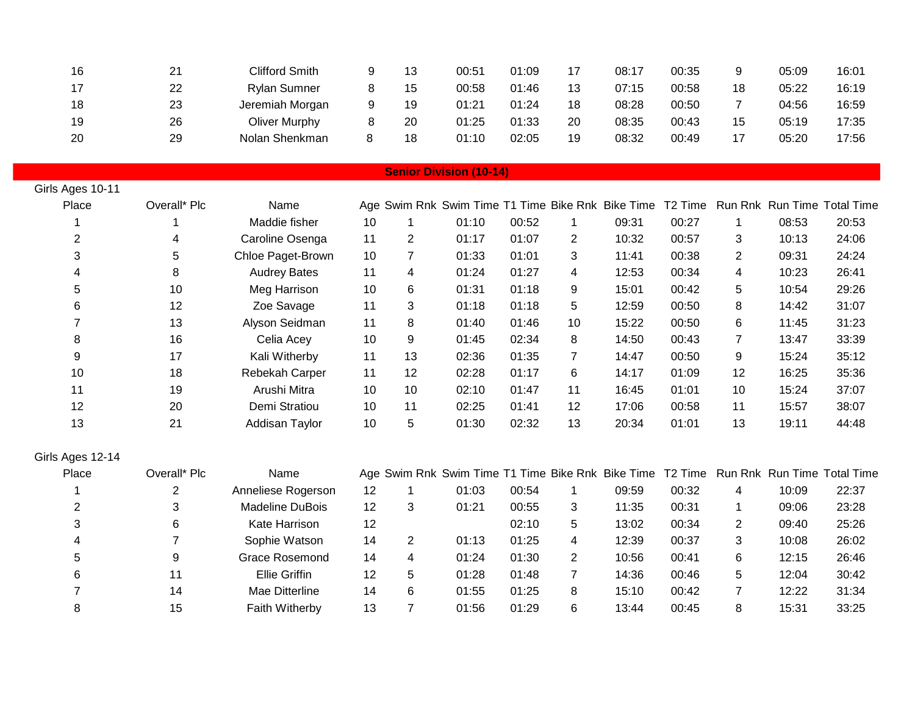| 16 | 21 | Clifford Smith      | ر ا | 00:51 | 01:09 | 17 | 08:17 | 00:35 |    | 05:09 | 16:01 |
|----|----|---------------------|-----|-------|-------|----|-------|-------|----|-------|-------|
| 17 | 22 | <b>Rylan Sumner</b> | 15  | 00:58 | 01:46 | 13 | 07:15 | 00:58 | 18 | 05:22 | 16:19 |
| 18 | 23 | Jeremiah Morgan     | 19  | 01:21 | 01:24 | 18 | 08:28 | 00:50 |    | 04:56 | 16:59 |
| 19 | 26 | Oliver Murphy       | 20  | 01:25 | 01:33 | 20 | 08:35 | 00:43 | 15 | 05:19 | 17:35 |
| 20 | 29 | Nolan Shenkman      | 18  | 01:10 | 02:05 | 19 | 08:32 | 00:49 |    | 05:20 | 17:56 |

### **Senior Division (10-14)**

| Girls Ages 10-11 |              |                     |    |    |                                                           |       |                |       |       |              |       |                             |
|------------------|--------------|---------------------|----|----|-----------------------------------------------------------|-------|----------------|-------|-------|--------------|-------|-----------------------------|
| Place            | Overall* Plc | Name                |    |    | Age Swim Rnk Swim Time T1 Time Bike Rnk Bike Time T2 Time |       |                |       |       |              |       | Run Rnk Run Time Total Time |
|                  |              | Maddie fisher       | 10 |    | 01:10                                                     | 00:52 |                | 09:31 | 00:27 | $\mathbf{1}$ | 08:53 | 20:53                       |
|                  | 4            | Caroline Osenga     | 11 | 2  | 01:17                                                     | 01:07 | $\overline{2}$ | 10:32 | 00:57 | 3            | 10:13 | 24:06                       |
| 3                | 5            | Chloe Paget-Brown   | 10 |    | 01:33                                                     | 01:01 | 3              | 11:41 | 00:38 | 2            | 09:31 | 24:24                       |
| 4                | 8            | <b>Audrey Bates</b> | 11 | 4  | 01:24                                                     | 01:27 | 4              | 12:53 | 00:34 | 4            | 10:23 | 26:41                       |
| 5                | 10           | Meg Harrison        | 10 | 6  | 01:31                                                     | 01:18 | 9              | 15:01 | 00:42 | 5            | 10:54 | 29:26                       |
| 6                | 12           | Zoe Savage          | 11 | 3  | 01:18                                                     | 01:18 | 5              | 12:59 | 00:50 | 8            | 14:42 | 31:07                       |
|                  | 13           | Alyson Seidman      | 11 | 8  | 01:40                                                     | 01:46 | 10             | 15:22 | 00:50 | 6            | 11:45 | 31:23                       |
| 8                | 16           | Celia Acey          | 10 | 9  | 01:45                                                     | 02:34 | 8              | 14:50 | 00:43 | 7            | 13:47 | 33:39                       |
| 9                | 17           | Kali Witherby       | 11 | 13 | 02:36                                                     | 01:35 |                | 14:47 | 00:50 | 9            | 15:24 | 35:12                       |
| 10               | 18           | Rebekah Carper      | 11 | 12 | 02:28                                                     | 01:17 | 6              | 14:17 | 01:09 | 12           | 16:25 | 35:36                       |
| 11               | 19           | Arushi Mitra        | 10 | 10 | 02:10                                                     | 01:47 | 11             | 16:45 | 01:01 | 10           | 15:24 | 37:07                       |
| 12               | 20           | Demi Stratiou       | 10 | 11 | 02:25                                                     | 01:41 | 12             | 17:06 | 00:58 | 11           | 15:57 | 38:07                       |
| 13               | 21           | Addisan Taylor      | 10 | 5  | 01:30                                                     | 02:32 | 13             | 20:34 | 01:01 | 13           | 19:11 | 44:48                       |

## Girls Ages 12-14

| Place | Overall* Plc | Name               |    |   | Age Swim Rnk Swim Time T1 Time Bike Rnk Bike Time T2 Time Run Rnk Run Time Total Time |       |   |       |       |                |       |       |
|-------|--------------|--------------------|----|---|---------------------------------------------------------------------------------------|-------|---|-------|-------|----------------|-------|-------|
|       |              | Anneliese Rogerson | 12 |   | 01:03                                                                                 | 00:54 |   | 09:59 | 00:32 | 4              | 10:09 | 22:37 |
|       | 3            | Madeline DuBois    | 12 |   | 01:21                                                                                 | 00:55 | 3 | 11:35 | 00:31 |                | 09:06 | 23:28 |
| 3     | 6            | Kate Harrison      | 12 |   |                                                                                       | 02:10 | 5 | 13:02 | 00:34 | $\overline{2}$ | 09:40 | 25:26 |
| 4     |              | Sophie Watson      | 14 |   | 01:13                                                                                 | 01:25 | 4 | 12:39 | 00:37 | 3              | 10:08 | 26:02 |
| 5     | 9            | Grace Rosemond     | 14 | 4 | 01:24                                                                                 | 01:30 | 2 | 10:56 | 00:41 | 6              | 12:15 | 26:46 |
| 6     | 11           | Ellie Griffin      | 12 | 5 | 01:28                                                                                 | 01:48 |   | 14:36 | 00:46 | 5              | 12:04 | 30:42 |
|       | 14           | Mae Ditterline     | 14 | 6 | 01:55                                                                                 | 01:25 | 8 | 15:10 | 00:42 |                | 12:22 | 31:34 |
| 8     | 15           | Faith Witherby     | 13 |   | 01:56                                                                                 | 01:29 | 6 | 13:44 | 00:45 | 8              | 15:31 | 33:25 |
|       |              |                    |    |   |                                                                                       |       |   |       |       |                |       |       |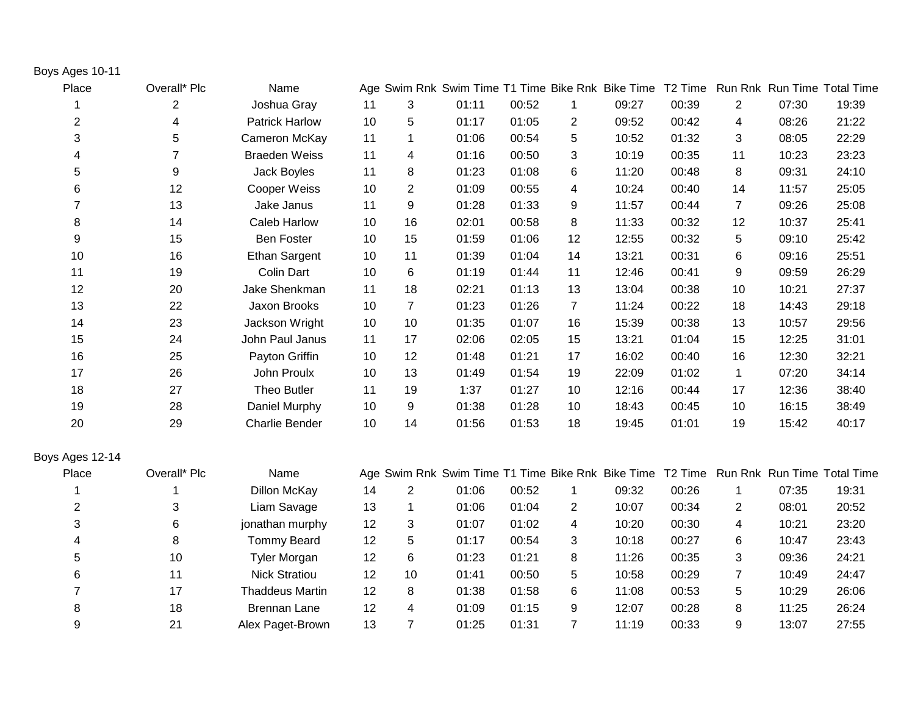#### Boys Ages 10-11

| Place                   | Overall* Plc | Name                  |    |                | Age Swim Rnk Swim Time T1 Time Bike Rnk Bike Time |       |                |       | T <sub>2</sub> Time |                |       | Run Rnk Run Time Total Time |
|-------------------------|--------------|-----------------------|----|----------------|---------------------------------------------------|-------|----------------|-------|---------------------|----------------|-------|-----------------------------|
|                         | 2            | Joshua Gray           | 11 | 3              | 01:11                                             | 00:52 | $\mathbf{1}$   | 09:27 | 00:39               | $\overline{2}$ | 07:30 | 19:39                       |
| $\overline{\mathbf{c}}$ | 4            | <b>Patrick Harlow</b> | 10 | 5              | 01:17                                             | 01:05 | $\overline{2}$ | 09:52 | 00:42               | 4              | 08:26 | 21:22                       |
| 3                       | 5            | Cameron McKay         | 11 | 1              | 01:06                                             | 00:54 | 5              | 10:52 | 01:32               | 3              | 08:05 | 22:29                       |
| 4                       | 7            | <b>Braeden Weiss</b>  | 11 | 4              | 01:16                                             | 00:50 | 3              | 10:19 | 00:35               | 11             | 10:23 | 23:23                       |
| 5                       | 9            | Jack Boyles           | 11 | 8              | 01:23                                             | 01:08 | 6              | 11:20 | 00:48               | 8              | 09:31 | 24:10                       |
| 6                       | 12           | Cooper Weiss          | 10 | 2              | 01:09                                             | 00:55 | 4              | 10:24 | 00:40               | 14             | 11:57 | 25:05                       |
| $\overline{7}$          | 13           | Jake Janus            | 11 | 9              | 01:28                                             | 01:33 | 9              | 11:57 | 00:44               | $\overline{7}$ | 09:26 | 25:08                       |
| 8                       | 14           | <b>Caleb Harlow</b>   | 10 | 16             | 02:01                                             | 00:58 | 8              | 11:33 | 00:32               | 12             | 10:37 | 25:41                       |
| 9                       | 15           | <b>Ben Foster</b>     | 10 | 15             | 01:59                                             | 01:06 | 12             | 12:55 | 00:32               | 5              | 09:10 | 25:42                       |
| 10                      | 16           | <b>Ethan Sargent</b>  | 10 | 11             | 01:39                                             | 01:04 | 14             | 13:21 | 00:31               | 6              | 09:16 | 25:51                       |
| 11                      | 19           | <b>Colin Dart</b>     | 10 | 6              | 01:19                                             | 01:44 | 11             | 12:46 | 00:41               | 9              | 09:59 | 26:29                       |
| 12                      | 20           | Jake Shenkman         | 11 | 18             | 02:21                                             | 01:13 | 13             | 13:04 | 00:38               | 10             | 10:21 | 27:37                       |
| 13                      | 22           | Jaxon Brooks          | 10 | $\overline{7}$ | 01:23                                             | 01:26 | $\overline{7}$ | 11:24 | 00:22               | 18             | 14:43 | 29:18                       |
| 14                      | 23           | Jackson Wright        | 10 | 10             | 01:35                                             | 01:07 | 16             | 15:39 | 00:38               | 13             | 10:57 | 29:56                       |
| 15                      | 24           | John Paul Janus       | 11 | 17             | 02:06                                             | 02:05 | 15             | 13:21 | 01:04               | 15             | 12:25 | 31:01                       |
| 16                      | 25           | Payton Griffin        | 10 | 12             | 01:48                                             | 01:21 | 17             | 16:02 | 00:40               | 16             | 12:30 | 32:21                       |
| 17                      | 26           | John Proulx           | 10 | 13             | 01:49                                             | 01:54 | 19             | 22:09 | 01:02               | $\mathbf{1}$   | 07:20 | 34:14                       |
| 18                      | 27           | Theo Butler           | 11 | 19             | 1:37                                              | 01:27 | 10             | 12:16 | 00:44               | 17             | 12:36 | 38:40                       |
| 19                      | 28           | Daniel Murphy         | 10 | 9              | 01:38                                             | 01:28 | 10             | 18:43 | 00:45               | 10             | 16:15 | 38:49                       |
| 20                      | 29           | <b>Charlie Bender</b> | 10 | 14             | 01:56                                             | 01:53 | 18             | 19:45 | 01:01               | 19             | 15:42 | 40:17                       |
| Boys Ages 12-14         |              |                       |    |                |                                                   |       |                |       |                     |                |       |                             |
| Place                   | Overall* Plc | Name                  |    |                | Age Swim Rnk Swim Time T1 Time Bike Rnk Bike Time |       |                |       | T <sub>2</sub> Time |                |       | Run Rnk Run Time Total Time |
|                         |              | Dillon McKay          | 14 | $\overline{2}$ | 01:06                                             | 00:52 | $\mathbf 1$    | 09:32 | 00:26               | 1              | 07:35 | 19:31                       |
| 2                       | 3            | Liam Savage           | 13 | $\mathbf{1}$   | 01:06                                             | 01:04 | $\overline{2}$ | 10:07 | 00:34               | $\overline{c}$ | 08:01 | 20:52                       |
| 3                       | 6            | jonathan murphy       | 12 | 3              | 01:07                                             | 01:02 | 4              | 10:20 | 00:30               | 4              | 10:21 | 23:20                       |
| 4                       | 8            | <b>Tommy Beard</b>    | 12 | 5              | 01:17                                             | 00:54 | 3              | 10:18 | 00:27               | 6              | 10:47 | 23:43                       |

 10 Tyler Morgan 12 6 01:23 01:21 8 11:26 00:35 3 09:36 24:21 11 Nick Stratiou 12 10 01:41 00:50 5 10:58 00:29 7 10:49 24:47 17 Thaddeus Martin 12 8 01:38 01:58 6 11:08 00:53 5 10:29 26:06 18 Brennan Lane 12 4 01:09 01:15 9 12:07 00:28 8 11:25 26:24 21 Alex Paget-Brown 13 7 01:25 01:31 7 11:19 00:33 9 13:07 27:55